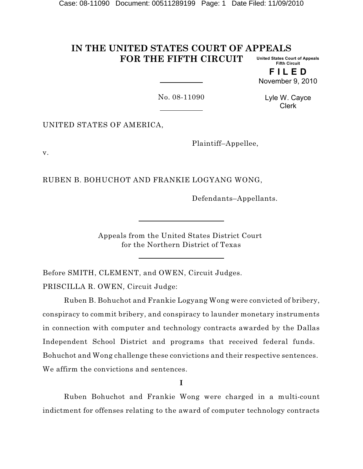#### **IN THE UNITED STATES COURT OF APPEALS FOR THE FIFTH CIRCUIT United States Court of Appeals Fifth Circuit**

**F I L E D** November 9, 2010

No. 08-11090

Lyle W. Cayce Clerk

UNITED STATES OF AMERICA,

Plaintiff–Appellee,

v.

RUBEN B. BOHUCHOT AND FRANKIE LOGYANG WONG,

Defendants–Appellants.

Appeals from the United States District Court for the Northern District of Texas

Before SMITH, CLEMENT, and OWEN, Circuit Judges.

PRISCILLA R. OWEN*,* Circuit Judge:

Ruben B. Bohuchot and Frankie Logyang Wong were convicted of bribery, conspiracy to commit bribery, and conspiracy to launder monetary instruments in connection with computer and technology contracts awarded by the Dallas Independent School District and programs that received federal funds. Bohuchot and Wong challenge these convictions and their respective sentences. We affirm the convictions and sentences.

**I**

Ruben Bohuchot and Frankie Wong were charged in a multi-count indictment for offenses relating to the award of computer technology contracts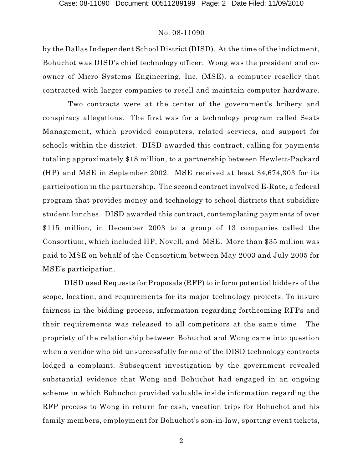by the Dallas Independent School District (DISD). At the time of the indictment, Bohuchot was DISD's chief technology officer. Wong was the president and coowner of Micro Systems Engineering, Inc. (MSE), a computer reseller that contracted with larger companies to resell and maintain computer hardware.

Two contracts were at the center of the government's bribery and conspiracy allegations. The first was for a technology program called Seats Management, which provided computers, related services, and support for schools within the district. DISD awarded this contract, calling for payments totaling approximately \$18 million, to a partnership between Hewlett-Packard (HP) and MSE in September 2002. MSE received at least \$4,674,303 for its participation in the partnership. The second contract involved E-Rate, a federal program that provides money and technology to school districts that subsidize student lunches. DISD awarded this contract, contemplating payments of over \$115 million, in December 2003 to a group of 13 companies called the Consortium, which included HP, Novell, and MSE. More than \$35 million was paid to MSE on behalf of the Consortium between May 2003 and July 2005 for MSE's participation.

DISD used Requests for Proposals (RFP) to inform potential bidders of the scope, location, and requirements for its major technology projects. To insure fairness in the bidding process, information regarding forthcoming RFPs and their requirements was released to all competitors at the same time. The propriety of the relationship between Bohuchot and Wong came into question when a vendor who bid unsuccessfully for one of the DISD technology contracts lodged a complaint. Subsequent investigation by the government revealed substantial evidence that Wong and Bohuchot had engaged in an ongoing scheme in which Bohuchot provided valuable inside information regarding the RFP process to Wong in return for cash, vacation trips for Bohuchot and his family members, employment for Bohuchot's son-in-law, sporting event tickets,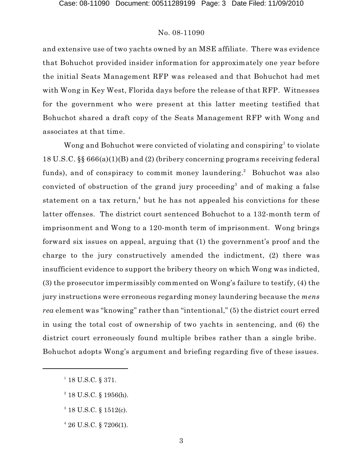and extensive use of two yachts owned by an MSE affiliate. There was evidence that Bohuchot provided insider information for approximately one year before the initial Seats Management RFP was released and that Bohuchot had met with Wong in Key West, Florida days before the release of that RFP. Witnesses for the government who were present at this latter meeting testified that Bohuchot shared a draft copy of the Seats Management RFP with Wong and associates at that time.

Wong and Bohuchot were convicted of violating and conspiring<sup>1</sup> to violate 18 U.S.C. §§ 666(a)(1)(B) and (2) (bribery concerning programs receiving federal funds), and of conspiracy to commit money laundering.<sup>2</sup> Bohuchot was also convicted of obstruction of the grand jury proceeding<sup>3</sup> and of making a false statement on a tax return,<sup>4</sup> but he has not appealed his convictions for these latter offenses. The district court sentenced Bohuchot to a 132-month term of imprisonment and Wong to a 120-month term of imprisonment. Wong brings forward six issues on appeal, arguing that (1) the government's proof and the charge to the jury constructively amended the indictment, (2) there was insufficient evidence to support the bribery theory on which Wong was indicted, (3) the prosecutor impermissibly commented on Wong's failure to testify, (4) the jury instructions were erroneous regarding money laundering because the *mens rea* element was "knowing" rather than "intentional," (5) the district court erred in using the total cost of ownership of two yachts in sentencing, and (6) the district court erroneously found multiple bribes rather than a single bribe. Bohuchot adopts Wong's argument and briefing regarding five of these issues.

 $1$  18 U.S.C. § 371.

 $2$  18 U.S.C. § 1956(h).

 $3$  18 U.S.C. § 1512(c).

 $426$  U.S.C. § 7206(1).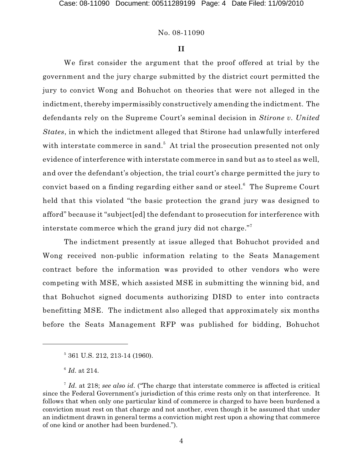#### **II**

We first consider the argument that the proof offered at trial by the government and the jury charge submitted by the district court permitted the jury to convict Wong and Bohuchot on theories that were not alleged in the indictment, thereby impermissibly constructively amending the indictment. The defendants rely on the Supreme Court's seminal decision in *Stirone v. United States*, in which the indictment alleged that Stirone had unlawfully interfered with interstate commerce in sand.<sup>5</sup> At trial the prosecution presented not only evidence of interference with interstate commerce in sand but as to steel as well, and over the defendant's objection, the trial court's charge permitted the jury to convict based on a finding regarding either sand or steel. $^6$  The Supreme Court held that this violated "the basic protection the grand jury was designed to afford" because it "subject[ed] the defendant to prosecution for interference with interstate commerce which the grand jury did not charge."<sup>7</sup>

The indictment presently at issue alleged that Bohuchot provided and Wong received non-public information relating to the Seats Management contract before the information was provided to other vendors who were competing with MSE, which assisted MSE in submitting the winning bid, and that Bohuchot signed documents authorizing DISD to enter into contracts benefitting MSE. The indictment also alleged that approximately six months before the Seats Management RFP was published for bidding, Bohuchot

 $5$  361 U.S. 212, 213-14 (1960).

 $\frac{6}{1}$ *Id.* at 214.

Id. at 218; see also id. ("The charge that interstate commerce is affected is critical since the Federal Government's jurisdiction of this crime rests only on that interference. It follows that when only one particular kind of commerce is charged to have been burdened a conviction must rest on that charge and not another, even though it be assumed that under an indictment drawn in general terms a conviction might rest upon a showing that commerce of one kind or another had been burdened.").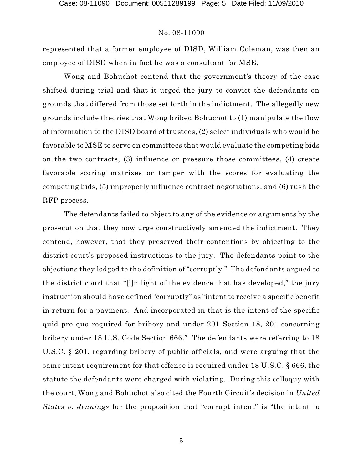represented that a former employee of DISD, William Coleman, was then an employee of DISD when in fact he was a consultant for MSE.

Wong and Bohuchot contend that the government's theory of the case shifted during trial and that it urged the jury to convict the defendants on grounds that differed from those set forth in the indictment. The allegedly new grounds include theories that Wong bribed Bohuchot to (1) manipulate the flow of information to the DISD board of trustees, (2) select individuals who would be favorable to MSE to serve on committees that would evaluate the competing bids on the two contracts, (3) influence or pressure those committees, (4) create favorable scoring matrixes or tamper with the scores for evaluating the competing bids, (5) improperly influence contract negotiations, and (6) rush the RFP process.

The defendants failed to object to any of the evidence or arguments by the prosecution that they now urge constructively amended the indictment. They contend, however, that they preserved their contentions by objecting to the district court's proposed instructions to the jury. The defendants point to the objections they lodged to the definition of "corruptly." The defendants argued to the district court that "[i]n light of the evidence that has developed," the jury instruction should have defined "corruptly" as "intent to receive a specific benefit in return for a payment. And incorporated in that is the intent of the specific quid pro quo required for bribery and under 201 Section 18, 201 concerning bribery under 18 U.S. Code Section 666." The defendants were referring to 18 U.S.C. § 201, regarding bribery of public officials, and were arguing that the same intent requirement for that offense is required under 18 U.S.C. § 666, the statute the defendants were charged with violating. During this colloquy with the court, Wong and Bohuchot also cited the Fourth Circuit's decision in *United States v. Jennings* for the proposition that "corrupt intent" is "the intent to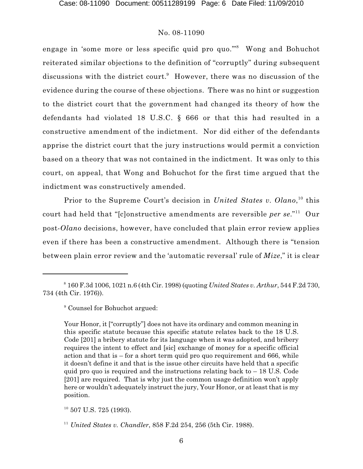engage in 'some more or less specific quid pro quo."<sup>8</sup> Wong and Bohuchot reiterated similar objections to the definition of "corruptly" during subsequent discussions with the district court.<sup>9</sup> However, there was no discussion of the evidence during the course of these objections. There was no hint or suggestion to the district court that the government had changed its theory of how the defendants had violated 18 U.S.C. § 666 or that this had resulted in a constructive amendment of the indictment. Nor did either of the defendants apprise the district court that the jury instructions would permit a conviction based on a theory that was not contained in the indictment. It was only to this court, on appeal, that Wong and Bohuchot for the first time argued that the indictment was constructively amended.

Prior to the Supreme Court's decision in *United States v. Olano*,<sup>10</sup> this court had held that "[c]onstructive amendments are reversible *per se*." Our 11 post-*Olano* decisions, however, have concluded that plain error review applies even if there has been a constructive amendment. Although there is "tension between plain error review and the 'automatic reversal' rule of *Mize*," it is clear

<sup>160</sup> F.3d 1006, 1021 n.6 (4th Cir. 1998) (quoting *United States v. Arthur*, 544 F.2d 730, <sup>8</sup> 734 (4th Cir. 1976)).

<sup>&</sup>lt;sup>9</sup> Counsel for Bohuchot argued:

Your Honor, it ["corruptly"] does not have its ordinary and common meaning in this specific statute because this specific statute relates back to the 18 U.S. Code [201] a bribery statute for its language when it was adopted, and bribery requires the intent to effect and [sic] exchange of money for a specific official action and that is  $-$  for a short term quid pro quo requirement and 666, while it doesn't define it and that is the issue other circuits have held that a specific quid pro quo is required and the instructions relating back to  $-18$  U.S. Code [201] are required. That is why just the common usage definition won't apply here or wouldn't adequately instruct the jury, Your Honor, or at least that is my position.

 $10$  507 U.S. 725 (1993).

<sup>&</sup>lt;sup>11</sup> United States v. Chandler, 858 F.2d 254, 256 (5th Cir. 1988).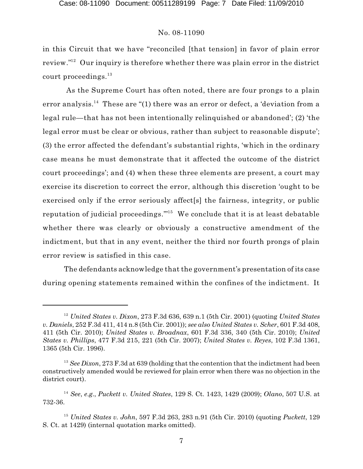in this Circuit that we have "reconciled [that tension] in favor of plain error review." $^{12}$  Our inquiry is therefore whether there was plain error in the district court proceedings. $^{\rm 13}$ 

As the Supreme Court has often noted, there are four prongs to a plain error analysis. $^{14}$  These are "(1) there was an error or defect, a 'deviation from a legal rule—that has not been intentionally relinquished or abandoned'; (2) 'the legal error must be clear or obvious, rather than subject to reasonable dispute'; (3) the error affected the defendant's substantial rights, 'which in the ordinary case means he must demonstrate that it affected the outcome of the district court proceedings'; and (4) when these three elements are present, a court may exercise its discretion to correct the error, although this discretion 'ought to be exercised only if the error seriously affect[s] the fairness, integrity, or public reputation of judicial proceedings."<sup>15</sup> We conclude that it is at least debatable whether there was clearly or obviously a constructive amendment of the indictment, but that in any event, neither the third nor fourth prongs of plain error review is satisfied in this case.

The defendants acknowledge that the government's presentation of its case during opening statements remained within the confines of the indictment. It

*United States v. Dixon*, 273 F.3d 636, 639 n.1 (5th Cir. 2001) (quoting *United States* <sup>12</sup> *v. Daniels*, 252 F.3d 411, 414 n.8 (5th Cir. 2001)); *see also United States v. Scher*, 601 F.3d 408, 411 (5th Cir. 2010); *United States v. Broadnax*, 601 F.3d 336, 340 (5th Cir. 2010); *United States v. Phillips*, 477 F.3d 215, 221 (5th Cir. 2007); *United States v. Reyes*, 102 F.3d 1361, 1365 (5th Cir. 1996).

<sup>&</sup>lt;sup>13</sup> See *Dixon*, 273 F.3d at 639 (holding that the contention that the indictment had been constructively amended would be reviewed for plain error when there was no objection in the district court).

<sup>&</sup>lt;sup>14</sup> See, *e.g.*, *Puckett v. United States*, 129 S. Ct. 1423, 1429 (2009); *Olano*, 507 U.S. at 732-36.

<sup>&</sup>lt;sup>15</sup> United States v. John, 597 F.3d 263, 283 n.91 (5th Cir. 2010) (quoting *Puckett*, 129 S. Ct. at 1429) (internal quotation marks omitted).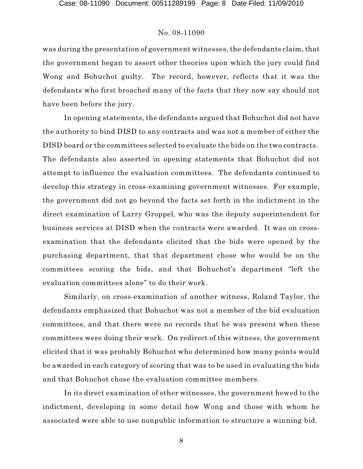was during the presentation of government witnesses, the defendants claim, that the government began to assert other theories upon which the jury could find Wong and Bohuchot guilty. The record, however, reflects that it was the defendants who first broached many of the facts that they now say should not have been before the jury.

In opening statements, the defendants argued that Bohuchot did not have the authority to bind DISD to any contracts and was not a member of either the DISD board or the committees selected to evaluate the bids on the two contracts. The defendants also asserted in opening statements that Bohuchot did not attempt to influence the evaluation committees. The defendants continued to develop this strategy in cross-examining government witnesses. For example, the government did not go beyond the facts set forth in the indictment in the direct examination of Larry Groppel, who was the deputy superintendent for business services at DISD when the contracts were awarded. It was on crossexamination that the defendants elicited that the bids were opened by the purchasing department, that that department chose who would be on the committees scoring the bids, and that Bohuchot's department "left the evaluation committees alone" to do their work.

Similarly, on cross-examination of another witness, Roland Taylor, the defendants emphasized that Bohuchot was not a member of the bid evaluation committees, and that there were no records that he was present when these committees were doing their work. On redirect of this witness, the government elicited that it was probably Bohuchot who determined how many points would be awarded in each category of scoring that was to be used in evaluating the bids and that Bohuchot chose the evaluation committee members.

In its direct examination of other witnesses, the government hewed to the indictment, developing in some detail how Wong and those with whom he associated were able to use nonpublic information to structure a winning bid.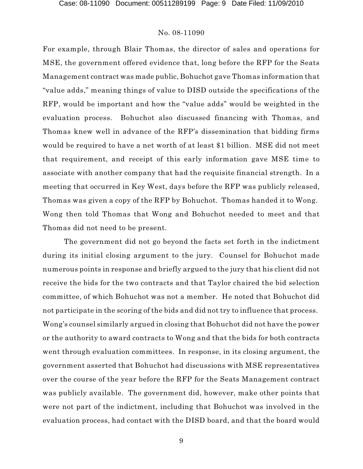For example, through Blair Thomas, the director of sales and operations for MSE, the government offered evidence that, long before the RFP for the Seats Management contract was made public, Bohuchot gave Thomas information that "value adds," meaning things of value to DISD outside the specifications of the RFP, would be important and how the "value adds" would be weighted in the evaluation process. Bohuchot also discussed financing with Thomas, and Thomas knew well in advance of the RFP's dissemination that bidding firms would be required to have a net worth of at least \$1 billion. MSE did not meet that requirement, and receipt of this early information gave MSE time to associate with another company that had the requisite financial strength. In a meeting that occurred in Key West, days before the RFP was publicly released, Thomas was given a copy of the RFP by Bohuchot. Thomas handed it to Wong. Wong then told Thomas that Wong and Bohuchot needed to meet and that Thomas did not need to be present.

The government did not go beyond the facts set forth in the indictment during its initial closing argument to the jury. Counsel for Bohuchot made numerous points in response and briefly argued to the jury that his client did not receive the bids for the two contracts and that Taylor chaired the bid selection committee, of which Bohuchot was not a member. He noted that Bohuchot did not participate in the scoring of the bids and did not try to influence that process. Wong's counsel similarly argued in closing that Bohuchot did not have the power or the authority to award contracts to Wong and that the bids for both contracts went through evaluation committees. In response, in its closing argument, the government asserted that Bohuchot had discussions with MSE representatives over the course of the year before the RFP for the Seats Management contract was publicly available. The government did, however, make other points that were not part of the indictment, including that Bohuchot was involved in the evaluation process, had contact with the DISD board, and that the board would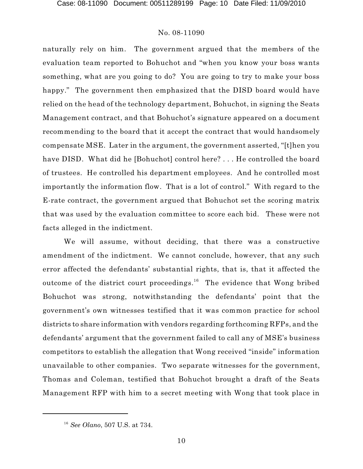naturally rely on him. The government argued that the members of the evaluation team reported to Bohuchot and "when you know your boss wants something, what are you going to do? You are going to try to make your boss happy." The government then emphasized that the DISD board would have relied on the head of the technology department, Bohuchot, in signing the Seats Management contract, and that Bohuchot's signature appeared on a document recommending to the board that it accept the contract that would handsomely compensate MSE. Later in the argument, the government asserted, "[t]hen you have DISD. What did he [Bohuchot] control here? . . . He controlled the board of trustees. He controlled his department employees. And he controlled most importantly the information flow. That is a lot of control." With regard to the E-rate contract, the government argued that Bohuchot set the scoring matrix that was used by the evaluation committee to score each bid. These were not facts alleged in the indictment.

We will assume, without deciding, that there was a constructive amendment of the indictment. We cannot conclude, however, that any such error affected the defendants' substantial rights, that is, that it affected the outcome of the district court proceedings.<sup>16</sup> The evidence that Wong bribed Bohuchot was strong, notwithstanding the defendants' point that the government's own witnesses testified that it was common practice for school districts to share information with vendors regarding forthcoming RFPs, and the defendants' argument that the government failed to call any of MSE's business competitors to establish the allegation that Wong received "inside" information unavailable to other companies. Two separate witnesses for the government, Thomas and Coleman, testified that Bohuchot brought a draft of the Seats Management RFP with him to a secret meeting with Wong that took place in

*See Olano*, 507 U.S. at 734. 16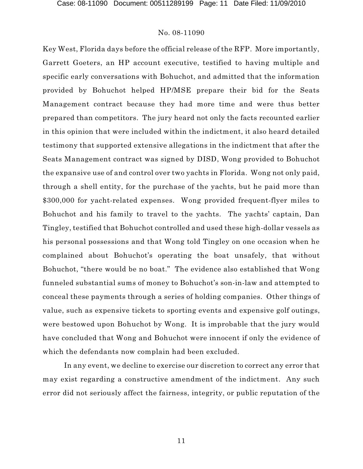Key West, Florida days before the official release of the RFP. More importantly, Garrett Goeters, an HP account executive, testified to having multiple and specific early conversations with Bohuchot, and admitted that the information provided by Bohuchot helped HP/MSE prepare their bid for the Seats Management contract because they had more time and were thus better prepared than competitors. The jury heard not only the facts recounted earlier in this opinion that were included within the indictment, it also heard detailed testimony that supported extensive allegations in the indictment that after the Seats Management contract was signed by DISD, Wong provided to Bohuchot the expansive use of and control over two yachts in Florida. Wong not only paid, through a shell entity, for the purchase of the yachts, but he paid more than \$300,000 for yacht-related expenses. Wong provided frequent-flyer miles to Bohuchot and his family to travel to the yachts. The yachts' captain, Dan Tingley, testified that Bohuchot controlled and used these high-dollar vessels as his personal possessions and that Wong told Tingley on one occasion when he complained about Bohuchot's operating the boat unsafely, that without Bohuchot, "there would be no boat." The evidence also established that Wong funneled substantial sums of money to Bohuchot's son-in-law and attempted to conceal these payments through a series of holding companies. Other things of value, such as expensive tickets to sporting events and expensive golf outings, were bestowed upon Bohuchot by Wong. It is improbable that the jury would have concluded that Wong and Bohuchot were innocent if only the evidence of which the defendants now complain had been excluded.

In any event, we decline to exercise our discretion to correct any error that may exist regarding a constructive amendment of the indictment. Any such error did not seriously affect the fairness, integrity, or public reputation of the

11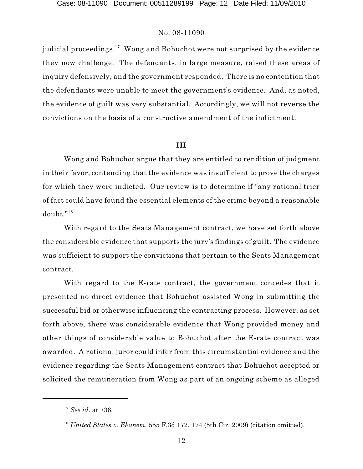judicial proceedings. $^{17}\,$  Wong and Bohuchot were not surprised by the evidence they now challenge. The defendants, in large measure, raised these areas of inquiry defensively, and the government responded. There is no contention that the defendants were unable to meet the government's evidence. And, as noted, the evidence of guilt was very substantial. Accordingly, we will not reverse the convictions on the basis of a constructive amendment of the indictment.

#### **III**

Wong and Bohuchot argue that they are entitled to rendition of judgment in their favor, contending that the evidence was insufficient to prove the charges for which they were indicted. Our review is to determine if "any rational trier of fact could have found the essential elements of the crime beyond a reasonable doubt." 18

With regard to the Seats Management contract, we have set forth above the considerable evidence that supports the jury's findings of guilt. The evidence was sufficient to support the convictions that pertain to the Seats Management contract.

With regard to the E-rate contract, the government concedes that it presented no direct evidence that Bohuchot assisted Wong in submitting the successful bid or otherwise influencing the contracting process. However, as set forth above, there was considerable evidence that Wong provided money and other things of considerable value to Bohuchot after the E-rate contract was awarded. A rational juror could infer from this circumstantial evidence and the evidence regarding the Seats Management contract that Bohuchot accepted or solicited the remuneration from Wong as part of an ongoing scheme as alleged

<sup>&</sup>lt;sup>17</sup> *See id.* at 736.

<sup>&</sup>lt;sup>18</sup> United States v. Ekanem, 555 F.3d 172, 174 (5th Cir. 2009) (citation omitted).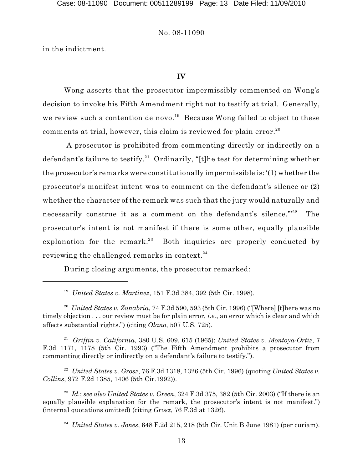in the indictment.

### **IV**

Wong asserts that the prosecutor impermissibly commented on Wong's decision to invoke his Fifth Amendment right not to testify at trial. Generally, we review such a contention de novo.<sup>19</sup> Because Wong failed to object to these comments at trial, however, this claim is reviewed for plain error. $^{20}$ 

A prosecutor is prohibited from commenting directly or indirectly on a defendant's failure to testify.<sup>21</sup> Ordinarily, "[t]he test for determining whether the prosecutor's remarks were constitutionally impermissible is: '(1) whether the prosecutor's manifest intent was to comment on the defendant's silence or (2) whether the character of the remark was such that the jury would naturally and necessarily construe it as a comment on the defendant's silence."<sup>22</sup> The prosecutor's intent is not manifest if there is some other, equally plausible explanation for the remark.<sup>23</sup> Both inquiries are properly conducted by reviewing the challenged remarks in context.  $^{24}$ 

During closing arguments, the prosecutor remarked:

<sup>19</sup> United States v. Martinez, 151 F.3d 384, 392 (5th Cir. 1998).

<sup>20</sup> United States v. Zanabria, 74 F.3d 590, 593 (5th Cir. 1996) ("[Where] [t]here was no timely objection . . . our review must be for plain error, *i.e.*, an error which is clear and which affects substantial rights.") (citing *Olano*, 507 U.S. 725).

*Griffin v. California*, 380 U.S. 609, 615 (1965); *United States v. Montoya-Ortiz*, 7 21 F.3d 1171, 1178 (5th Cir. 1993) ("The Fifth Amendment prohibits a prosecutor from commenting directly or indirectly on a defendant's failure to testify.").

*United States v. Grosz*, 76 F.3d 1318, 1326 (5th Cir. 1996) (quoting *United States v.* <sup>22</sup> *Collins*, 972 F.2d 1385, 1406 (5th Cir.1992)).

<sup>23</sup> Id.; see also United States v. Green, 324 F.3d 375, 382 (5th Cir. 2003) ("If there is an equally plausible explanation for the remark, the prosecutor's intent is not manifest.") (internal quotations omitted) (citing *Grosz*, 76 F.3d at 1326).

<sup>24</sup> United States v. Jones,  $648$  F.2d  $215$ ,  $218$  (5th Cir. Unit B June 1981) (per curiam).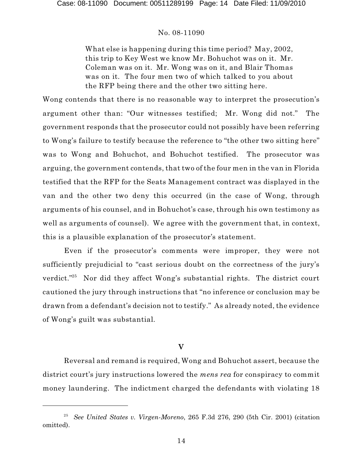What else is happening during this time period? May, 2002, this trip to Key West we know Mr. Bohuchot was on it. Mr. Coleman was on it. Mr. Wong was on it, and Blair Thomas was on it. The four men two of which talked to you about the RFP being there and the other two sitting here.

Wong contends that there is no reasonable way to interpret the prosecution's argument other than: "Our witnesses testified; Mr. Wong did not." The government responds that the prosecutor could not possibly have been referring to Wong's failure to testify because the reference to "the other two sitting here" was to Wong and Bohuchot, and Bohuchot testified. The prosecutor was arguing, the government contends, that two of the four men in the van in Florida testified that the RFP for the Seats Management contract was displayed in the van and the other two deny this occurred (in the case of Wong, through arguments of his counsel, and in Bohuchot's case, through his own testimony as well as arguments of counsel). We agree with the government that, in context, this is a plausible explanation of the prosecutor's statement.

Even if the prosecutor's comments were improper, they were not sufficiently prejudicial to "cast serious doubt on the correctness of the jury's verdict."<sup>25</sup> Nor did they affect Wong's substantial rights. The district court cautioned the jury through instructions that "no inference or conclusion may be drawn from a defendant's decision not to testify." As already noted, the evidence of Wong's guilt was substantial.

# **V**

Reversal and remand is required, Wong and Bohuchot assert, because the district court's jury instructions lowered the *mens rea* for conspiracy to commit money laundering. The indictment charged the defendants with violating 18

<sup>&</sup>lt;sup>25</sup> See United States v. Virgen-Moreno, 265 F.3d 276, 290 (5th Cir. 2001) (citation omitted).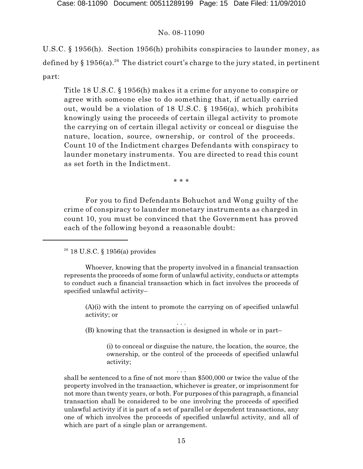U.S.C. § 1956(h). Section 1956(h) prohibits conspiracies to launder money, as defined by § 1956(a). $^{26}$  The district court's charge to the jury stated, in pertinent part:

Title 18 U.S.C. § 1956(h) makes it a crime for anyone to conspire or agree with someone else to do something that, if actually carried out, would be a violation of 18 U.S.C. § 1956(a), which prohibits knowingly using the proceeds of certain illegal activity to promote the carrying on of certain illegal activity or conceal or disguise the nature, location, source, ownership, or control of the proceeds. Count 10 of the Indictment charges Defendants with conspiracy to launder monetary instruments. You are directed to read this count as set forth in the Indictment.

\* \* \*

For you to find Defendants Bohuchot and Wong guilty of the crime of conspiracy to launder monetary instruments as charged in count 10, you must be convinced that the Government has proved each of the following beyond a reasonable doubt:

(A)(i) with the intent to promote the carrying on of specified unlawful activity; or

. . . (B) knowing that the transaction is designed in whole or in part–

> (i) to conceal or disguise the nature, the location, the source, the ownership, or the control of the proceeds of specified unlawful activity;

shall be sentenced to a fine of not more than \$500,000 or twice the value of the property involved in the transaction, whichever is greater, or imprisonment for not more than twenty years, or both. For purposes of this paragraph, a financial transaction shall be considered to be one involving the proceeds of specified unlawful activity if it is part of a set of parallel or dependent transactions, any one of which involves the proceeds of specified unlawful activity, and all of which are part of a single plan or arrangement.

. . .

 $2^6$  18 U.S.C. § 1956(a) provides

Whoever, knowing that the property involved in a financial transaction represents the proceeds of some form of unlawful activity, conducts or attempts to conduct such a financial transaction which in fact involves the proceeds of specified unlawful activity–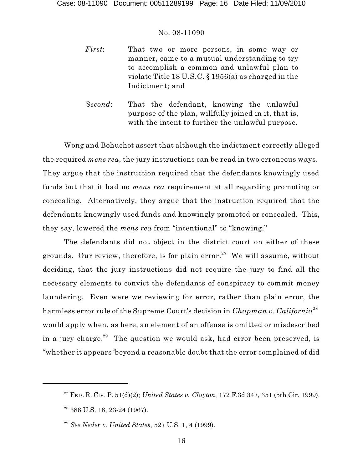- *First*: That two or more persons, in some way or manner, came to a mutual understanding to try to accomplish a common and unlawful plan to violate Title 18 U.S.C. § 1956(a) as charged in the Indictment; and
- *Second*: That the defendant, knowing the unlawful purpose of the plan, willfully joined in it, that is, with the intent to further the unlawful purpose.

Wong and Bohuchot assert that although the indictment correctly alleged the required *mens rea*, the jury instructions can be read in two erroneous ways. They argue that the instruction required that the defendants knowingly used funds but that it had no *mens rea* requirement at all regarding promoting or concealing. Alternatively, they argue that the instruction required that the defendants knowingly used funds and knowingly promoted or concealed. This, they say, lowered the *mens rea* from "intentional" to "knowing."

The defendants did not object in the district court on either of these grounds. Our review, therefore, is for plain error.<sup>27</sup> We will assume, without deciding, that the jury instructions did not require the jury to find all the necessary elements to convict the defendants of conspiracy to commit money laundering. Even were we reviewing for error, rather than plain error, the harmless error rule of the Supreme Court's decision in *Chapman v. California* 28 would apply when, as here, an element of an offense is omitted or misdescribed in a jury charge. $^{29}$  The question we would ask, had error been preserved, is "whether it appears 'beyond a reasonable doubt that the error complained of did

FED. R. CIV. P. 51(d)(2); *United States v. Clayton*, 172 F.3d 347, 351 (5th Cir. 1999). 27

<sup>&</sup>lt;sup>28</sup> 386 U.S. 18, 23-24 (1967).

<sup>&</sup>lt;sup>29</sup> See Neder v. United States, 527 U.S. 1, 4 (1999).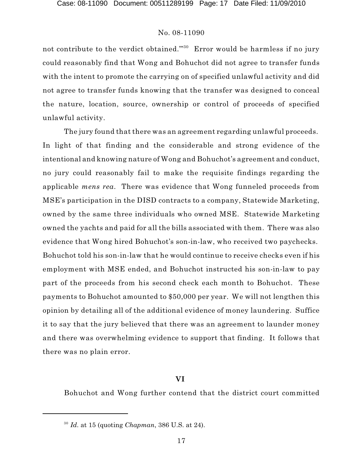not contribute to the verdict obtained."<sup>30</sup> Error would be harmless if no jury could reasonably find that Wong and Bohuchot did not agree to transfer funds with the intent to promote the carrying on of specified unlawful activity and did not agree to transfer funds knowing that the transfer was designed to conceal the nature, location, source, ownership or control of proceeds of specified unlawful activity.

The jury found that there was an agreement regarding unlawful proceeds. In light of that finding and the considerable and strong evidence of the intentional and knowing nature of Wong and Bohuchot's agreement and conduct, no jury could reasonably fail to make the requisite findings regarding the applicable *mens rea*. There was evidence that Wong funneled proceeds from MSE's participation in the DISD contracts to a company, Statewide Marketing, owned by the same three individuals who owned MSE. Statewide Marketing owned the yachts and paid for all the bills associated with them. There was also evidence that Wong hired Bohuchot's son-in-law, who received two paychecks. Bohuchot told his son-in-law that he would continue to receive checks even if his employment with MSE ended, and Bohuchot instructed his son-in-law to pay part of the proceeds from his second check each month to Bohuchot. These payments to Bohuchot amounted to \$50,000 per year. We will not lengthen this opinion by detailing all of the additional evidence of money laundering. Suffice it to say that the jury believed that there was an agreement to launder money and there was overwhelming evidence to support that finding. It follows that there was no plain error.

## **VI**

Bohuchot and Wong further contend that the district court committed

*Id*. at 15 (quoting *Chapman*, 386 U.S. at 24). 30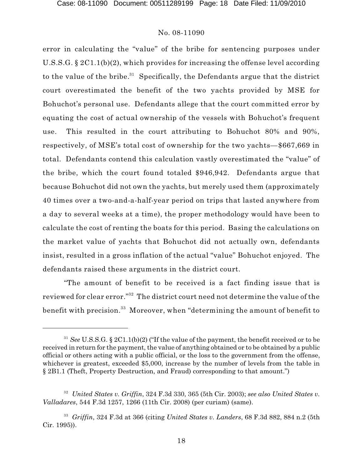error in calculating the "value" of the bribe for sentencing purposes under U.S.S.G. § 2C1.1(b)(2), which provides for increasing the offense level according to the value of the bribe. $^{31}$  Specifically, the Defendants argue that the district court overestimated the benefit of the two yachts provided by MSE for Bohuchot's personal use. Defendants allege that the court committed error by equating the cost of actual ownership of the vessels with Bohuchot's frequent use. This resulted in the court attributing to Bohuchot 80% and 90%, respectively, of MSE's total cost of ownership for the two yachts—\$667,669 in total. Defendants contend this calculation vastly overestimated the "value" of the bribe, which the court found totaled \$946,942. Defendants argue that because Bohuchot did not own the yachts, but merely used them (approximately 40 times over a two-and-a-half-year period on trips that lasted anywhere from a day to several weeks at a time), the proper methodology would have been to calculate the cost of renting the boats for this period. Basing the calculations on the market value of yachts that Bohuchot did not actually own, defendants insist, resulted in a gross inflation of the actual "value" Bohuchot enjoyed. The defendants raised these arguments in the district court.

"The amount of benefit to be received is a fact finding issue that is reviewed for clear error." $\rm ^{32}$  The district court need not determine the value of the benefit with precision. $^{33}$  Moreover, when "determining the amount of benefit to

<sup>&</sup>lt;sup>31</sup> See U.S.S.G. § 2C1.1(b)(2) ("If the value of the payment, the benefit received or to be received in return for the payment, the value of anything obtained or to be obtained by a public official or others acting with a public official, or the loss to the government from the offense, whichever is greatest, exceeded \$5,000, increase by the number of levels from the table in § 2B1.1 (Theft, Property Destruction, and Fraud) corresponding to that amount.")

*United States v. Griffin*, 324 F.3d 330, 365 (5th Cir. 2003); *see also United States v.* <sup>32</sup> *Valladares*, 544 F.3d 1257, 1266 (11th Cir. 2008) (per curiam) (same).

*Griffin*, 324 F.3d at 366 (citing *United States v. Landers*, 68 F.3d 882, 884 n.2 (5th <sup>33</sup> Cir. 1995)).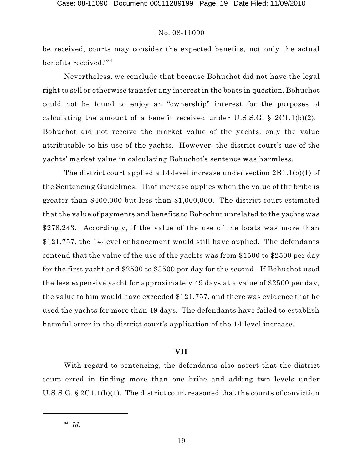be received, courts may consider the expected benefits, not only the actual  $\,$  benefits received." $^{34}$ 

Nevertheless, we conclude that because Bohuchot did not have the legal right to sell or otherwise transfer any interest in the boats in question, Bohuchot could not be found to enjoy an "ownership" interest for the purposes of calculating the amount of a benefit received under U.S.S.G. § 2C1.1(b)(2). Bohuchot did not receive the market value of the yachts, only the value attributable to his use of the yachts. However, the district court's use of the yachts' market value in calculating Bohuchot's sentence was harmless.

The district court applied a 14-level increase under section 2B1.1(b)(1) of the Sentencing Guidelines. That increase applies when the value of the bribe is greater than \$400,000 but less than \$1,000,000. The district court estimated that the value of payments and benefits to Bohochut unrelated to the yachts was \$278,243. Accordingly, if the value of the use of the boats was more than \$121,757, the 14-level enhancement would still have applied. The defendants contend that the value of the use of the yachts was from \$1500 to \$2500 per day for the first yacht and \$2500 to \$3500 per day for the second. If Bohuchot used the less expensive yacht for approximately 49 days at a value of \$2500 per day, the value to him would have exceeded \$121,757, and there was evidence that he used the yachts for more than 49 days. The defendants have failed to establish harmful error in the district court's application of the 14-level increase.

#### **VII**

With regard to sentencing, the defendants also assert that the district court erred in finding more than one bribe and adding two levels under U.S.S.G. § 2C1.1(b)(1). The district court reasoned that the counts of conviction

<sup>&</sup>lt;sup>34</sup> *Id.*